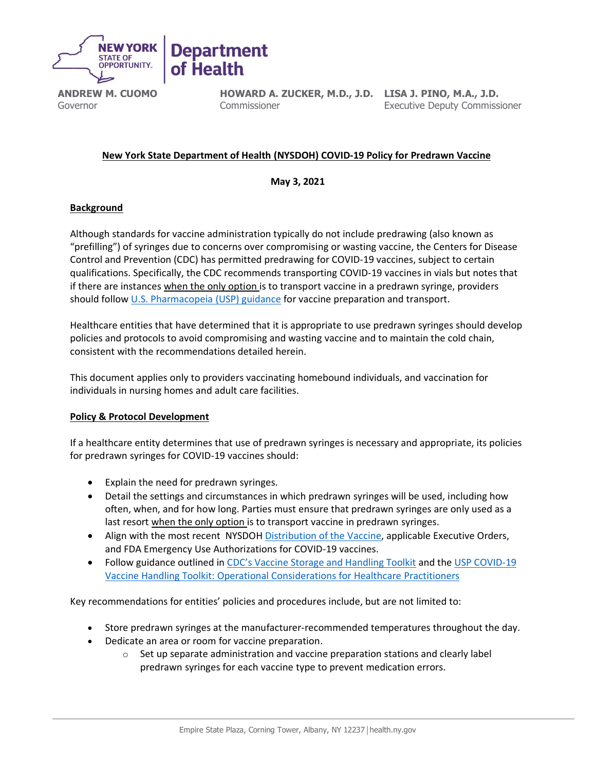

**ANDREW M. CUOMO** Governor

**HOWARD A. ZUCKER, M.D., J.D. LISA J. PINO, M.A., J.D.** Commissioner

Executive Deputy Commissioner

# **New York State Department of Health (NYSDOH) COVID-19 Policy for Predrawn Vaccine**

**May 3, 2021**

## **Background**

Although standards for vaccine administration typically do not include predrawing (also known as "prefilling") of syringes due to concerns over compromising or wasting vaccine, the Centers for Disease Control and Prevention (CDC) has permitted predrawing for COVID-19 vaccines, subject to certain qualifications. Specifically, the CDC recommends transporting COVID-19 vaccines in vials but notes that if there are instances when the only option is to transport vaccine in a predrawn syringe, providers should follow [U.S. Pharmacopeia](https://www.usp.org/covid-19/vaccine-handling-toolkit) (USP) guidance for vaccine preparation and transport.

Healthcare entities that have determined that it is appropriate to use predrawn syringes should develop policies and protocols to avoid compromising and wasting vaccine and to maintain the cold chain, consistent with the recommendations detailed herein.

This document applies only to providers vaccinating homebound individuals, and vaccination for individuals in nursing homes and adult care facilities.

### **Policy & Protocol Development**

If a healthcare entity determines that use of predrawn syringes is necessary and appropriate, its policies for predrawn syringes for COVID-19 vaccines should:

- Explain the need for predrawn syringes.
- Detail the settings and circumstances in which predrawn syringes will be used, including how often, when, and for how long. Parties must ensure that predrawn syringes are only used as a last resort when the only option is to transport vaccine in predrawn syringes.
- Align with the most recent NYSDOH [Distribution of the Vaccine,](https://covid19vaccine.health.ny.gov/distribution-vaccine) applicable Executive Orders, and FDA Emergency Use Authorizations for COVID-19 vaccines.
- Follow guidance outlined in CDC's [Vaccine Storage and Handling Toolkit](https://www.cdc.gov/vaccines/hcp/admin/storage/toolkit/index.html) and the USP COVID-19 [Vaccine Handling Toolkit: Operational Considerations for Healthcare](https://www.usp.org/covid-19/vaccine-handling-toolkit) Practitioners

Key recommendations for entities' policies and procedures include, but are not limited to:

- Store predrawn syringes at the manufacturer-recommended temperatures throughout the day.
- Dedicate an area or room for vaccine preparation.
	- $\circ$  Set up separate administration and vaccine preparation stations and clearly label predrawn syringes for each vaccine type to prevent medication errors.